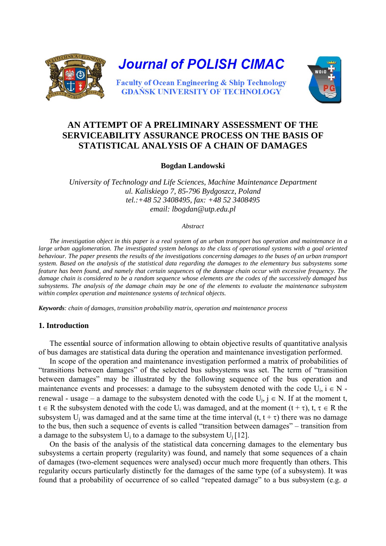

# **AN ATTEMPT OF A PRELIMINARY ASSESSMENT OF THE SERVICEABILITY ASSURANCE PROCESS ON THE BASIS OF STATISTICAL ANALYSIS OF A CHAIN OF DAMAGES**

**Bogdan Landowski** 

*University of Technology and Life Sciences, Machine Maintenance Department ul. Kaliskiego 7, 85-796 Bydgoszcz, Poland tel.:+48 52 3408495, fax: +48 52 3408495 email: lbogdan[@utp.edu.pl](mailto:perkol@atr.bydgoszcz.pl)* 

#### *Abstract*

*The investigation object in this paper is a real system of an urban transport bus operation and maintenance in a large urban agglomeration. The investigated system belongs to the class of operational systems with a goal oriented behaviour. The paper presents the results of the investigations concerning damages to the buses of an urban transport system. Based on the analysis of the statistical data regarding the damages to the elementary bus subsystems some feature has been found, and namely that certain sequences of the damage chain occur with excessive frequency. The damage chain is considered to be a random sequence whose elements are the codes of the successively damaged bus subsystems. The analysis of the damage chain may be one of the elements to evaluate the maintenance subsystem within complex operation and maintenance systems of technical objects.* 

*Keywords: chain of damages, transition probability matrix, operation and maintenance process*

## **1. Introduction**

The essent**i**al source of information allowing to obtain objective results of quantitative analysis of bus damages are statistical data during the operation and maintenance investigation performed.

In scope of the operation and maintenance investigation performed a matrix of probabilities of "transitions between damages" of the selected bus subsystems was set. The term of "transition between damages" may be illustrated by the following sequence of the bus operation and maintenance events and processes: a damage to the subsystem denoted with the code  $U_i$ ,  $i \in N$  renewal - usage – a damage to the subsystem denoted with the code  $U_i$ ,  $j \in N$ . If at the moment t,  $t \in R$  the subsystem denoted with the code U<sub>i</sub> was damaged, and at the moment  $(t + \tau)$ ,  $t, \tau \in R$  the subsystem U<sub>i</sub> was damaged and at the same time at the time interval  $(t, t + \tau)$  there was no damage to the bus, then such a sequence of events is called "transition between damages" – transition from a damage to the subsystem  $U_i$  to a damage to the subsystem  $U_i$  [12].

On the basis of the analysis of the statistical data concerning damages to the elementary bus subsystems a certain property (regularity) was found, and namely that some sequences of a chain of damages (two-element sequences were analysed) occur much more frequently than others. This regularity occurs particularly distinctly for the damages of the same type (of a subsystem). It was found that a probability of occurrence of so called "repeated damage" to a bus subsystem (e.g. *a*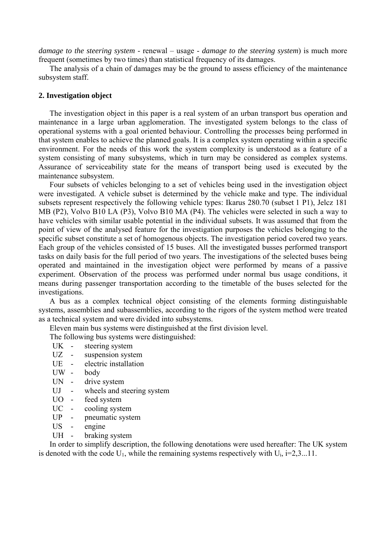*damage to the steering system* - renewal – usage - *damage to the steering system*) is much more frequent (sometimes by two times) than statistical frequency of its damages.

The analysis of a chain of damages may be the ground to assess efficiency of the maintenance subsystem staff.

## **2. Investigation object**

The investigation object in this paper is a real system of an urban transport bus operation and maintenance in a large urban agglomeration. The investigated system belongs to the class of operational systems with a goal oriented behaviour. Controlling the processes being performed in that system enables to achieve the planned goals. It is a complex system operating within a specific environment. For the needs of this work the system complexity is understood as a feature of a system consisting of many subsystems, which in turn may be considered as complex systems. Assurance of serviceability state for the means of transport being used is executed by the maintenance subsystem.

Four subsets of vehicles belonging to a set of vehicles being used in the investigation object were investigated. A vehicle subset is determined by the vehicle make and type. The individual subsets represent respectively the following vehicle types: Ikarus 280.70 (subset 1 P1), Jelcz 181 MB (P2), Volvo B10 LA (P3), Volvo B10 MA (P4). The vehicles were selected in such a way to have vehicles with similar usable potential in the individual subsets. It was assumed that from the point of view of the analysed feature for the investigation purposes the vehicles belonging to the specific subset constitute a set of homogenous objects. The investigation period covered two years. Each group of the vehicles consisted of 15 buses. All the investigated busses performed transport tasks on daily basis for the full period of two years. The investigations of the selected buses being operated and maintained in the investigation object were performed by means of a passive experiment. Observation of the process was performed under normal bus usage conditions, it means during passenger transportation according to the timetable of the buses selected for the investigations.

A bus as a complex technical object consisting of the elements forming distinguishable systems, assemblies and subassemblies, according to the rigors of the system method were treated as a technical system and were divided into subsystems.

Eleven main bus systems were distinguished at the first division level.

The following bus systems were distinguished:

- UK steering system
- UZ suspension system
- UE electric installation
- UW body
- UN drive system
- UJ wheels and steering system
- UO feed system
- UC cooling system
- UP pneumatic system
- US engine
- UH braking system

In order to simplify description, the following denotations were used hereafter: The UK system is denoted with the code  $U_1$ , while the remaining systems respectively with  $U_i$ ,  $i=2,3...11$ .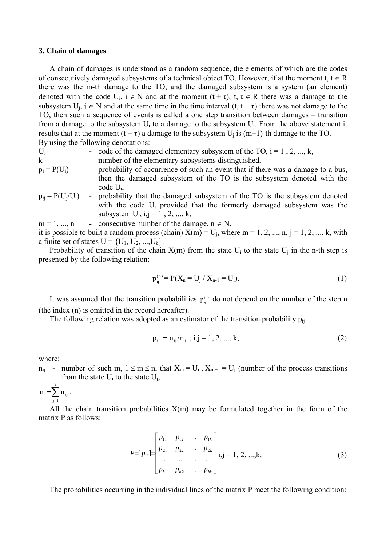### **3. Chain of damages**

A chain of damages is understood as a random sequence, the elements of which are the codes of consecutively damaged subsystems of a technical object TO. However, if at the moment t,  $t \in R$ there was the m-th damage to the TO, and the damaged subsystem is a system (an element) denoted with the code U<sub>i</sub>,  $i \in N$  and at the moment  $(t + \tau)$ ,  $t, \tau \in R$  there was a damage to the subsystem  $U_i$ ,  $j \in N$  and at the same time in the time interval  $(t, t + \tau)$  there was not damage to the TO, then such a sequence of events is called a one step transition between damages – transition from a damage to the subsystem  $U_i$  to a damage to the subsystem  $U_i$ . From the above statement it results that at the moment  $(t + \tau)$  a damage to the subsystem U<sub>i</sub> is  $(m+1)$ -th damage to the TO. By using the following denotations:

| $U_i$                 | - code of the damaged elementary subsystem of the TO, $i = 1, 2, , k$ ,                |
|-----------------------|----------------------------------------------------------------------------------------|
| $\mathbf{k}$          | - number of the elementary subsystems distinguished,                                   |
| $p_i = P(U_i)$        | - probability of occurrence of such an event that if there was a damage to a bus,      |
|                       | then the damaged subsystem of the TO is the subsystem denoted with the<br>code $U_i$ , |
| $p_{ii} = P(U_i/U_i)$ | - probability that the damaged subsystem of the TO is the subsystem denoted            |
|                       | with the code $U_i$ provided that the formerly damaged subsystem was the               |

 $m = 1, \dots, n$  - consecutive number of the damage,  $n \in N$ , it is possible to built a random process (chain)  $X(m) = U_j$ , where  $m = 1, 2, ..., n$ ,  $j = 1, 2, ..., k$ , with a finite set of states  $U = \{U_1, U_2, ..., U_k\}.$ 

subsystem  $U_i$ ,  $i, j = 1, 2, ..., k$ ,

Probability of transition of the chain  $X(m)$  from the state  $U_i$  to the state  $U_i$  in the n-th step is presented by the following relation:

$$
p_{ij}^{(n)} = P(X_n = U_j / X_{n-1} = U_i).
$$
 (1)

It was assumed that the transition probabilities  $p_{ij}^{(n)}$  do not depend on the number of the step n (the index (n) is omitted in the record hereafter).

The following relation was adopted as an estimator of the transition probability  $p_{ii}$ :

$$
\hat{p}_{ij} = n_{ij}/n_i, \ i, j = 1, 2, ..., k,
$$
\n(2)

where:

 $n_{ii}$  - number of such m,  $1 \le m \le n$ , that  $X_m = U_i$ ,  $X_{m+1} = U_i$  (number of the process transitions from the state  $U_i$  to the state  $U_i$ ,

 $=\sum_{j=1}$ k  $j=1$  $n_i = \sum n_{ij}$ .

All the chain transition probabilities  $X(m)$  may be formulated together in the form of the matrix P as follows:

$$
P=[p_{ij}]=\begin{bmatrix}p_{11} & p_{12} & \dots & p_{1k} \\ p_{21} & p_{22} & \dots & p_{2k} \\ \dots & \dots & \dots & \dots \\ p_{k1} & p_{k2} & \dots & p_{kk}\end{bmatrix}
$$
 i,j = 1, 2, ..., k. (3)

The probabilities occurring in the individual lines of the matrix P meet the following condition: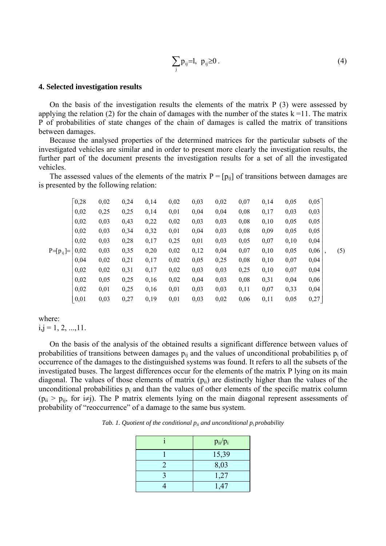$$
\sum_{j} p_{ij} = l, \ p_{ij} \ge 0. \tag{4}
$$

### **4. Selected investigation results**

On the basis of the investigation results the elements of the matrix P (3) were assessed by applying the relation (2) for the chain of damages with the number of the states  $k = 11$ . The matrix P of probabilities of state changes of the chain of damages is called the matrix of transitions between damages.

Because the analysed properties of the determined matrices for the particular subsets of the investigated vehicles are similar and in order to present more clearly the investigation results, the further part of the document presents the investigation results for a set of all the investigated vehicles.

The assessed values of the elements of the matrix  $P = [p_{ii}]$  of transitions between damages are is presented by the following relation:

|               | $\lceil 0, 28 \rceil$ | 0,02 | 0,24 | 0,14 | 0,02 | 0,03 | 0,02 | 0,07 | 0,14 | 0,05 | $0,05$ ] |     |
|---------------|-----------------------|------|------|------|------|------|------|------|------|------|----------|-----|
|               | 0,02                  | 0,25 | 0,25 | 0,14 | 0,01 | 0,04 | 0,04 | 0,08 | 0,17 | 0,03 | 0,03     |     |
|               | 0,02                  | 0,03 | 0,43 | 0,22 | 0,02 | 0,03 | 0,03 | 0,08 | 0,10 | 0,05 | 0,05     |     |
|               | 0,02                  | 0,03 | 0,34 | 0,32 | 0,01 | 0,04 | 0,03 | 0,08 | 0,09 | 0,05 | 0,05     |     |
|               | 0,02                  | 0,03 | 0,28 | 0,17 | 0,25 | 0,01 | 0,03 | 0,05 | 0,07 | 0,10 | 0,04     |     |
| $P=[p_{ij}]=$ | 0,02                  | 0,03 | 0,35 | 0,20 | 0,02 | 0,12 | 0,04 | 0,07 | 0,10 | 0,05 | 0,06     | (5) |
|               | 0,04                  | 0,02 | 0,21 | 0,17 | 0,02 | 0,05 | 0,25 | 0,08 | 0,10 | 0,07 | 0,04     |     |
|               | 0,02                  | 0,02 | 0,31 | 0,17 | 0,02 | 0,03 | 0,03 | 0,25 | 0,10 | 0,07 | 0,04     |     |
|               | 0,02                  | 0,05 | 0,25 | 0,16 | 0,02 | 0,04 | 0,03 | 0,08 | 0,31 | 0,04 | 0,06     |     |
|               | 0,02                  | 0,01 | 0,25 | 0,16 | 0,01 | 0,03 | 0,03 | 0,11 | 0,07 | 0,33 | 0,04     |     |
|               | 0,01                  | 0,03 | 0,27 | 0,19 | 0,01 | 0,03 | 0,02 | 0,06 | 0,11 | 0,05 | 0,27     |     |

## where:

 $i,j = 1, 2, ..., 11.$ 

On the basis of the analysis of the obtained results a significant difference between values of probabilities of transitions between damages  $p_{ii}$  and the values of unconditional probabilities  $p_i$  of occurrence of the damages to the distinguished systems was found. It refers to all the subsets of the investigated buses. The largest differences occur for the elements of the matrix P lying on its main diagonal. The values of those elements of matrix  $(p_{ii})$  are distinctly higher than the values of the unconditional probabilities  $p_i$  and than the values of other elements of the specific matrix column  $(p_{ii} > p_{ii}$ , for i≠j). The P matrix elements lying on the main diagonal represent assessments of probability of "reoccurrence" of a damage to the same bus system.

*Tab. 1. Quotient of the conditional*  $p_{ii}$  *and unconditional*  $p_i$  *probability* 

| $p_{ii}/p_i$ |
|--------------|
| 15,39        |
| 8,03         |
| 1,27         |
| 1,47         |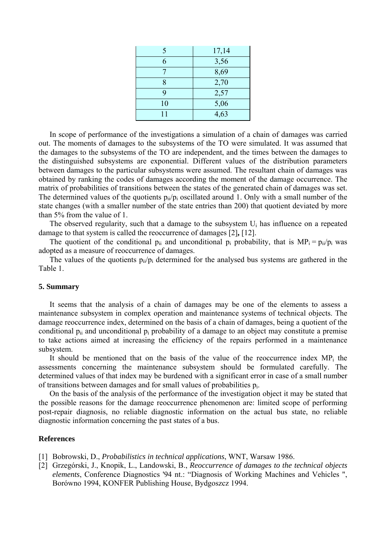| 5  | 17,14 |
|----|-------|
| 6  | 3,56  |
|    | 8,69  |
|    | 2,70  |
| Q  | 2,57  |
| 10 | 5,06  |
| 11 | 4,63  |

In scope of performance of the investigations a simulation of a chain of damages was carried out. The moments of damages to the subsystems of the TO were simulated. It was assumed that the damages to the subsystems of the TO are independent, and the times between the damages to the distinguished subsystems are exponential. Different values of the distribution parameters between damages to the particular subsystems were assumed. The resultant chain of damages was obtained by ranking the codes of damages according the moment of the damage occurrence. The matrix of probabilities of transitions between the states of the generated chain of damages was set. The determined values of the quotients  $p_{ii}/p_i$  oscillated around 1. Only with a small number of the state changes (with a smaller number of the state entries than 200) that quotient deviated by more than 5% from the value of 1.

The observed regularity, such that a damage to the subsystem  $U_i$  has influence on a repeated damage to that system is called the reoccurrence of damages [2]**,** [12].

The quotient of the conditional  $p_{ii}$  and unconditional  $p_i$  probability, that is  $MP_i = p_{ii}/p_i$  was adopted as a measure of reoccurrence of damages.

The values of the quotients  $p_{ii}/p_i$  determined for the analysed bus systems are gathered in the Table 1.

## **5. Summary**

It seems that the analysis of a chain of damages may be one of the elements to assess a maintenance subsystem in complex operation and maintenance systems of technical objects. The damage reoccurrence index, determined on the basis of a chain of damages, being a quotient of the conditional  $p_{ii}$  and unconditional  $p_i$  probability of a damage to an object may constitute a premise to take actions aimed at increasing the efficiency of the repairs performed in a maintenance subsystem.

It should be mentioned that on the basis of the value of the reoccurrence index  $MP_i$  the assessments concerning the maintenance subsystem should be formulated carefully. The determined values of that index may be burdened with a significant error in case of a small number of transitions between damages and for small values of probabilities pi.

On the basis of the analysis of the performance of the investigation object it may be stated that the possible reasons for the damage reoccurrence phenomenon are: limited scope of performing post-repair diagnosis, no reliable diagnostic information on the actual bus state, no reliable diagnostic information concerning the past states of a bus.

## **References**

- [1] Bobrowski, D., *Probabilistics in technical applications*, WNT, Warsaw 1986.
- [2] Grzegórski, J., Knopik, L., Landowski, B., *Reoccurrence of damages to the technical objects elements*, Conference Diagnostics '94 nt.: "Diagnosis of Working Machines and Vehicles ", Borówno 1994, KONFER Publishing House, Bydgoszcz 1994.